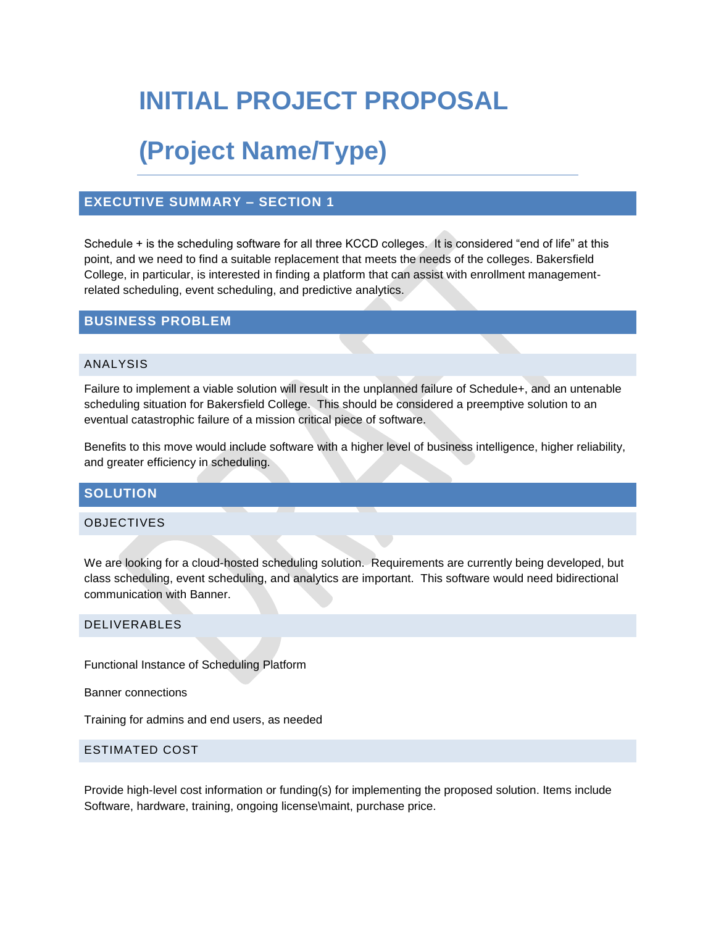# **INITIAL PROJECT PROPOSAL**

# **(Project Name/Type)**

### **EXECUTIVE SUMMARY – SECTION 1**

Schedule + is the scheduling software for all three KCCD colleges. It is considered "end of life" at this point, and we need to find a suitable replacement that meets the needs of the colleges. Bakersfield College, in particular, is interested in finding a platform that can assist with enrollment managementrelated scheduling, event scheduling, and predictive analytics.

## **BUSINESS PROBLEM**

#### ANALYSIS

Failure to implement a viable solution will result in the unplanned failure of Schedule+, and an untenable scheduling situation for Bakersfield College. This should be considered a preemptive solution to an eventual catastrophic failure of a mission critical piece of software.

Benefits to this move would include software with a higher level of business intelligence, higher reliability, and greater efficiency in scheduling.

### **SOLUTION**

#### OBJECTIVES

We are looking for a cloud-hosted scheduling solution. Requirements are currently being developed, but class scheduling, event scheduling, and analytics are important. This software would need bidirectional communication with Banner.

#### DELIVERABLES

Functional Instance of Scheduling Platform

Banner connections

Training for admins and end users, as needed

#### ESTIMATED COST

Provide high-level cost information or funding(s) for implementing the proposed solution. Items include Software, hardware, training, ongoing license\maint, purchase price.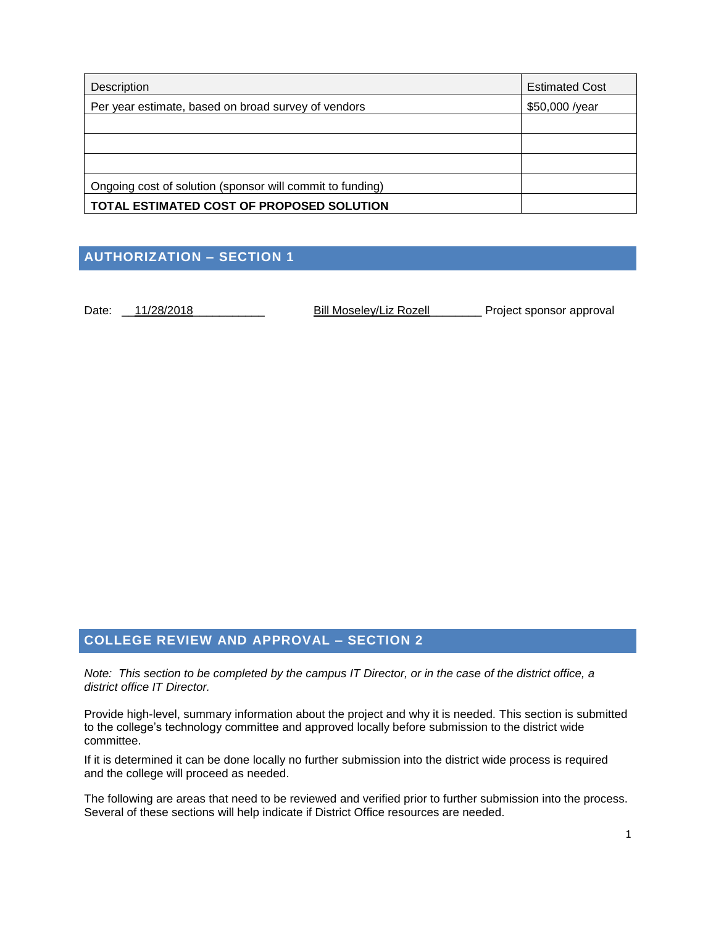| Description                                               | <b>Estimated Cost</b> |
|-----------------------------------------------------------|-----------------------|
| Per year estimate, based on broad survey of vendors       | \$50,000 /year        |
|                                                           |                       |
|                                                           |                       |
|                                                           |                       |
| Ongoing cost of solution (sponsor will commit to funding) |                       |
| TOTAL ESTIMATED COST OF PROPOSED SOLUTION                 |                       |

# **AUTHORIZATION – SECTION 1**

Date: \_\_<u>11/28/2018</u> \_\_\_\_\_\_\_\_\_\_\_\_ Bill Moseley/Liz Rozell\_\_\_\_\_\_\_\_ Project sponsor approval

## **COLLEGE REVIEW AND APPROVAL – SECTION 2**

*Note: This section to be completed by the campus IT Director, or in the case of the district office, a district office IT Director.*

Provide high-level, summary information about the project and why it is needed. This section is submitted to the college's technology committee and approved locally before submission to the district wide committee.

If it is determined it can be done locally no further submission into the district wide process is required and the college will proceed as needed.

The following are areas that need to be reviewed and verified prior to further submission into the process. Several of these sections will help indicate if District Office resources are needed.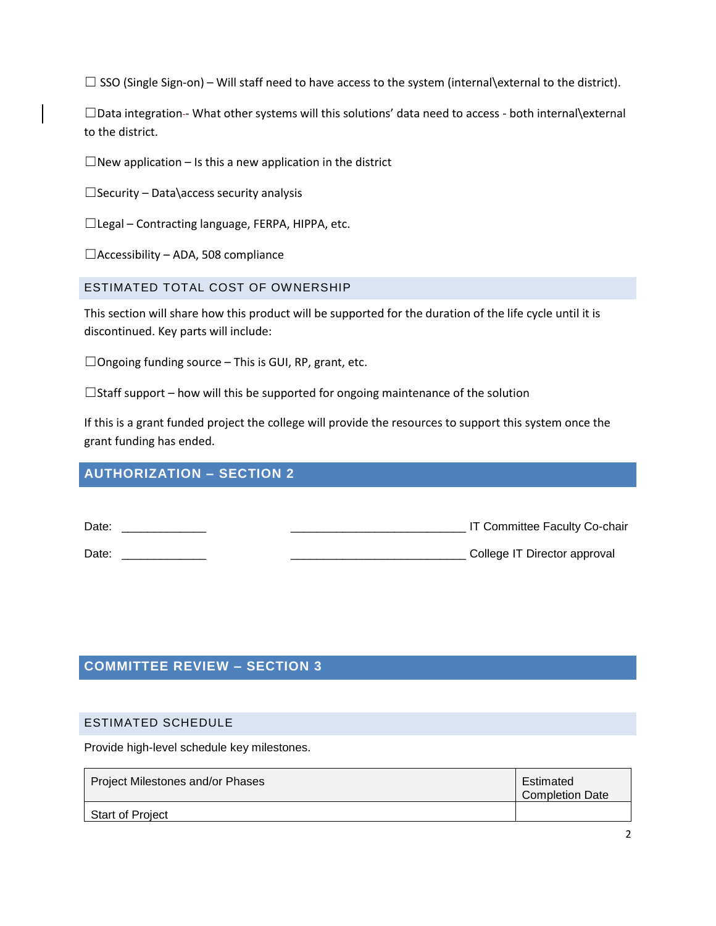$□$  SSO (Single Sign-on) – Will staff need to have access to the system (internal\external to the district).

□Data integration-- What other systems will this solutions' data need to access - both internal\external to the district.

 $\Box$ New application – Is this a new application in the district

 $\Box$  Security – Data\access security analysis

☐Legal – Contracting language, FERPA, HIPPA, etc.

 $\Box$ Accessibility – ADA, 508 compliance

ESTIMATED TOTAL COST OF OWNERSHIP

This section will share how this product will be supported for the duration of the life cycle until it is discontinued. Key parts will include:

 $\Box$ Ongoing funding source – This is GUI, RP, grant, etc.

 $\Box$ Staff support – how will this be supported for ongoing maintenance of the solution

If this is a grant funded project the college will provide the resources to support this system once the grant funding has ended.

## **AUTHORIZATION – SECTION 2**

| Date: | IT Committee Faculty Co-chair |
|-------|-------------------------------|
| Date: | College IT Director approval  |

## **COMMITTEE REVIEW – SECTION 3**

#### ESTIMATED SCHEDULE

Provide high-level schedule key milestones.

| Project Milestones and/or Phases | Estimated<br><b>Completion Date</b> |
|----------------------------------|-------------------------------------|
| <b>Start of Project</b>          |                                     |